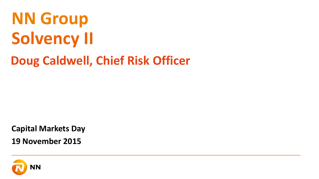# **Solvency II NN Group Doug Caldwell, Chief Risk Officer**

**Capital Markets Day**

**19 November 2015**

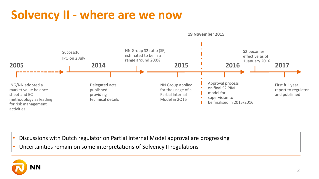### **Solvency II - where are we now**



- Discussions with Dutch regulator on Partial Internal Model approval are progressing
- Uncertainties remain on some interpretations of Solvency II regulations

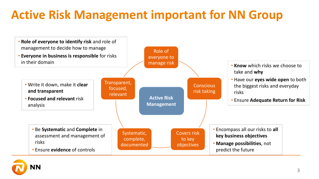## **Active Risk Management important for NN Group**



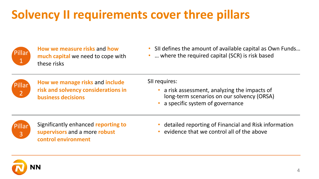## **Solvency II requirements cover three pillars**



**How we measure risks** and **how much capital** we need to cope with these risks

- SII defines the amount of available capital as Own Funds…
- ... where the required capital (SCR) is risk based



**How we manage risks** and **include risk and solvency considerations in business decisions**

SII requires:

- a risk assessment, analyzing the impacts of long-term scenarios on our solvency (ORSA)
- a specific system of governance



Significantly enhanced **reporting to supervisors** and a more **robust control environment**

- detailed reporting of Financial and Risk information
- evidence that we control all of the above

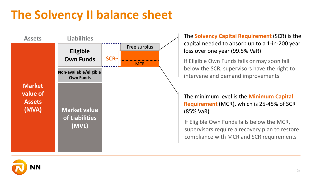### **The Solvency II balance sheet**



The **Solvency Capital Requirement** (SCR) is the capital needed to absorb up to a 1-in-200 year loss over one year (99.5% VaR)

If Eligible Own Funds falls or may soon fall below the SCR, supervisors have the right to intervene and demand improvements

The minimum level is the **Minimum Capital Requirement** (MCR), which is 25-45% of SCR (85% VaR)

If Eligible Own Funds falls below the MCR, supervisors require a recovery plan to restore compliance with MCR and SCR requirements

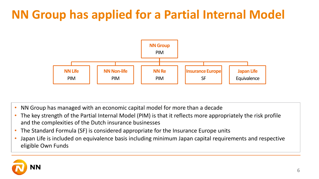### **NN Group has applied for a Partial Internal Model**



- NN Group has managed with an economic capital model for more than a decade
- The key strength of the Partial Internal Model (PIM) is that it reflects more appropriately the risk profile and the complexities of the Dutch insurance businesses
- The Standard Formula (SF) is considered appropriate for the Insurance Europe units
- Japan Life is included on equivalence basis including minimum Japan capital requirements and respective eligible Own Funds

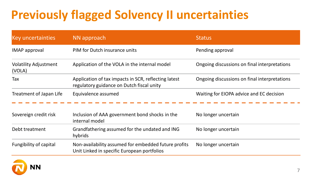### **Previously flagged Solvency II uncertainties**

| <b>Key uncertainties</b>               | NN approach                                                                                         | <b>Status</b>                                |
|----------------------------------------|-----------------------------------------------------------------------------------------------------|----------------------------------------------|
| <b>IMAP</b> approval                   | PIM for Dutch insurance units                                                                       | Pending approval                             |
| <b>Volatility Adjustment</b><br>(VOLA) | Application of the VOLA in the internal model                                                       | Ongoing discussions on final interpretations |
| Tax                                    | Application of tax impacts in SCR, reflecting latest<br>regulatory guidance on Dutch fiscal unity   | Ongoing discussions on final interpretations |
| Treatment of Japan Life                | Equivalence assumed                                                                                 | Waiting for EIOPA advice and EC decision     |
| Sovereign credit risk                  | Inclusion of AAA government bond shocks in the<br>internal model                                    | No longer uncertain                          |
| Debt treatment                         | Grandfathering assumed for the undated and ING<br>hybrids                                           | No longer uncertain                          |
| Fungibility of capital                 | Non-availability assumed for embedded future profits<br>Unit Linked in specific European portfolios | No longer uncertain                          |

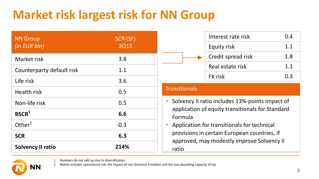## **Market risk largest risk for NN Group**

| <b>NN Group</b><br>(in EUR bln) | SCR (SF)<br>3Q15 |  |
|---------------------------------|------------------|--|
| Market risk                     | 3.8              |  |
| Counterparty default risk       | 1.1              |  |
| Life risk                       | 3.6              |  |
| <b>Health risk</b>              | 0.5              |  |
| Non-life risk                   | 0.5              |  |
| BSCR <sup>1</sup>               | 6.6              |  |
| Other $2$                       | $-0.3$           |  |
| <b>SCR</b>                      | 6.3              |  |
| <b>Solvency II ratio</b>        | 214%             |  |

|  | Interest rate risk | 0.4    |
|--|--------------------|--------|
|  | Equity risk        | 1.1    |
|  | Credit spread risk | 1.8    |
|  | Real estate risk   | 1.1    |
|  | <b>FX</b> risk     | (1, 3) |

#### **Transitionals**

- Solvency II ratio includes 13%-points impact of application of equity transitionals for Standard Formula
- Application for transitionals for technical provisions in certain European countries, if approved, may modestly improve Solvency II ratio



1. Numbers do not add up due to diversification

2. Mainly includes operational risk, the impact of non-Solvency II entities and the loss absorbing capacity of tax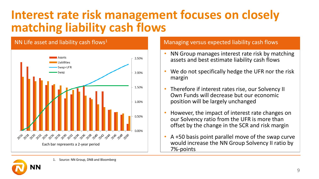#### **Interest rate risk management focuses on closely matching liability cash flows**



#### NN Life asset and liability cash flows<sup>1</sup>  $\blacksquare$  Managing versus expected liability cash flows

- NN Group manages interest rate risk by matching assets and best estimate liability cash flows
- We do not specifically hedge the UFR nor the risk margin
- Therefore if interest rates rise, our Solvency II Own Funds will decrease but our economic position will be largely unchanged
- However, the impact of interest rate changes on our Solvency ratio from the UFR is more than offset by the change in the SCR and risk margin
- A +50 basis point parallel move of the swap curve would increase the NN Group Solvency II ratio by 7%-points



1. Source: NN Group, DNB and Bloomberg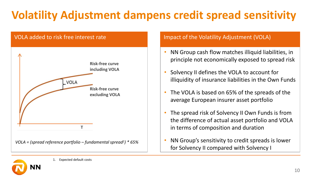### **Volatility Adjustment dampens credit spread sensitivity**



- NN Group cash flow matches illiquid liabilities, in principle not economically exposed to spread risk
- Solvency II defines the VOLA to account for illiquidity of insurance liabilities in the Own Funds
- The VOLA is based on 65% of the spreads of the average European insurer asset portfolio
- The spread risk of Solvency II Own Funds is from the difference of actual asset portfolio and VOLA in terms of composition and duration
- NN Group's sensitivity to credit spreads is lower for Solvency II compared with Solvency I

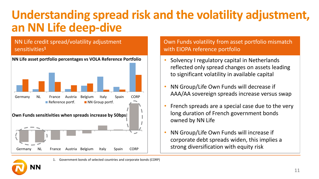#### **Understanding spread risk and the volatility adjustment, an NN Life deep-dive**

#### **Government/Corporate bond investments variety in vestments variety in vestments variety in vestments variety in** NN Life credit spread/volatility adjustment



**NN Life asset portfolio percentages vs VOLA Reference Portfolio**

#### Own Funds volatility from asset portfolio mismatch with EIOPA reference portfolio

- Solvency I regulatory capital in Netherlands reflected only spread changes on assets leading to significant volatility in available capital
- NN Group/Life Own Funds will decrease if AAA/AA sovereign spreads increase versus swap
- French spreads are a special case due to the very long duration of French government bonds owned by NN Life
- NN Group/Life Own Funds will increase if corporate debt spreads widen, this implies a strong diversification with equity risk

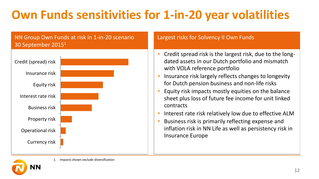## **Own Funds sensitivities for 1-in-20 year volatilities**

#### NN Group Own Funds at risk in 1-in-20 scenario Largest risks for Solvency II Own Funds 30 September 2015<sup>1</sup>



- Credit spread risk is the largest risk, due to the longdated assets in our Dutch portfolio and mismatch with VOLA reference portfolio
- Insurance risk largely reflects changes to longevity for Dutch pension business and non-life risks
- Equity risk impacts mostly equities on the balance sheet plus loss of future fee income for unit linked contracts
- Interest rate risk relatively low due to effective ALM
- Business risk is primarily reflecting expense and inflation risk in NN Life as well as persistency risk in Insurance Europe

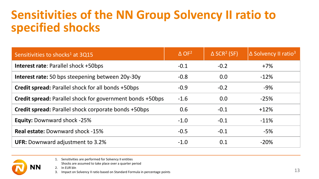#### **Sensitivities of the NN Group Solvency II ratio to specified shocks**

| Sensitivities to shocks <sup>1</sup> at 3Q15                     | $\Delta$ OF <sup>2</sup> | $\triangle$ SCR <sup>2</sup> (SF) | $\Delta$ Solvency II ratio <sup>3</sup> |
|------------------------------------------------------------------|--------------------------|-----------------------------------|-----------------------------------------|
| <b>Interest rate: Parallel shock +50bps</b>                      | $-0.1$                   | $-0.2$                            | $+7%$                                   |
| <b>Interest rate:</b> 50 bps steepening between 20y-30y          | $-0.8$                   | 0.0                               | $-12%$                                  |
| Credit spread: Parallel shock for all bonds +50bps               | $-0.9$                   | $-0.2$                            | $-9%$                                   |
| <b>Credit spread:</b> Parallel shock for government bonds +50bps | $-1.6$                   | 0.0                               | $-25%$                                  |
| Credit spread: Parallel shock corporate bonds +50bps             | 0.6                      | $-0.1$                            | $+12%$                                  |
| <b>Equity: Downward shock -25%</b>                               | $-1.0$                   | $-0.1$                            | $-11%$                                  |
| <b>Real estate: Downward shock -15%</b>                          | $-0.5$                   | $-0.1$                            | $-5%$                                   |
| <b>UFR: Downward adjustment to 3.2%</b>                          | $-1.0$                   | 0.1                               | $-20%$                                  |



1. Sensitivities are performed for Solvency II entities

Shocks are assumed to take place over a quarter period

2. In EUR bln

3. Impact on Solvency II ratio based on Standard Formula in percentage points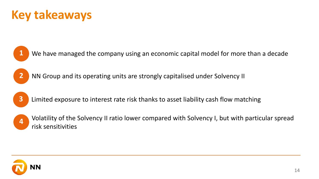#### **Key takeaways**

- We have managed the company using an economic capital model for more than a decade
- NN Group and its operating units are strongly capitalised under Solvency II
- Limited exposure to interest rate risk thanks to asset liability cash flow matching
- Volatility of the Solvency II ratio lower compared with Solvency I, but with particular spread risk sensitivities

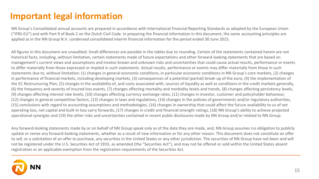#### **Important legal information**

NN Group's Consolidated annual accounts are prepared in accordance with International Financial Reporting Standards as adopted by the European Union ("IFRS-EU") and with Part 9 of Book 2 on the Dutch Civil Code. In preparing the financial information in this document, the same accounting principles are applied as in the NN Group N.V. condensed consolidated interim financial information for the period ended 30 June 2015.

All figures in this document are unaudited. Small differences are possible in the tables due to rounding. Certain of the statements contained herein are not historical facts, including, without limitation, certain statements made of future expectations and other forward-looking statements that are based on management's current views and assumptions and involve known and unknown risks and uncertainties that could cause actual results, performance or events to differ materially from those expressed or implied in such statements. Actual results, performance or events may differ materially from those in such statements due to, without limitation: (1) changes in general economic conditions, in particular economic conditions in NN Group's core markets, (2) changes in performance of financial markets, including developing markets, (3) consequences of a potential (partial) break-up of the euro, (4) the implementation of the EC Restructuring Plan, (5) changes in the availability of, and costs associated with, sources of liquidity as well as conditions in the credit markets generally, (6) the frequency and severity of insured loss events, (7) changes affecting mortality and morbidity levels and trends, (8) changes affecting persistency levels, (9) changes affecting interest rate levels, (10) changes affecting currency exchange rates, (11) changes in investor, customer and policyholder behaviour, (12) changes in general competitive factors, (13) changes in laws and regulations, (14) changes in the policies of governments and/or regulatory authorities, (15) conclusions with regard to accounting assumptions and methodologies, (16) changes in ownership that could affect the future availability to us of net operating loss, net capital and built-in loss carry forwards, (17) changes in credit and financial strength ratings, (18) NN Group's ability to achieve projected operational synergies and (19) the other risks and uncertainties contained in recent public disclosures made by NN Group and/or related to NN Group.

Any forward-looking statements made by or on behalf of NN Group speak only as of the date they are made, and, NN Group assumes no obligation to publicly update or revise any forward-looking statements, whether as a result of new information or for any other reason. This document does not constitute an offer to sell, or a solicitation of an offer to purchase, any securities in the United States or any other jurisdiction. The securities of NN Group have not been and will not be registered under the U.S. Securities Act of 1933, as amended (the "Securities Act"), and may not be offered or sold within the United States absent registration or an applicable exemption from the registration requirements of the Securities Act.